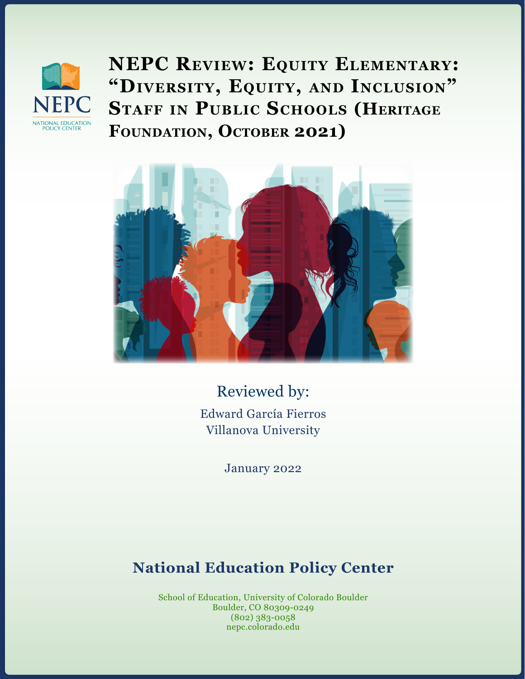

**NEPC Review: Equity Elementary: "Diversity, Equity, and Inclusion" Staff in Public Schools (Heritage** FOUNDATION, OCTOBER 2021)



Reviewed by: Edward García Fierros Villanova University

January 2022

## **National Education Policy Center**

School of Education, University of Colorado Boulder Boulder, CO 80309-0249 (802) 383-0058 nepc.colorado.edu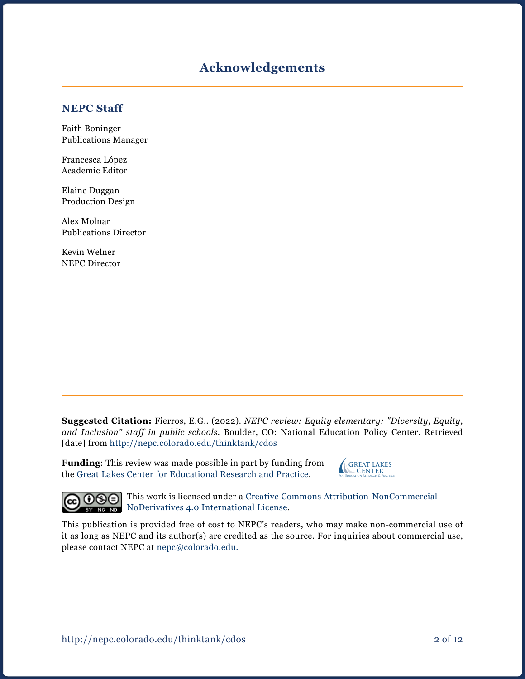#### **Acknowledgements**

#### **NEPC Staff**

Faith Boninger Publications Manager

Francesca López Academic Editor

Elaine Duggan Production Design

Alex Molnar Publications Director

Kevin Welner NEPC Director

**Suggested Citation:** Fierros, E.G.. (2022). *NEPC review: Equity elementary: "Diversity, Equity, and Inclusion" staff in public schools.* Boulder, CO: National Education Policy Center. Retrieved [date] from <http://nepc.colorado.edu/thinktank/cdos>

**Funding**: This review was made possible in part by funding from the [Great Lakes Center for Educational Research and Practice](http://www.greatlakescenter.org).





This work is licensed under a [Creative Commons Attribution-NonCommercial-](https://creativecommons.org/licenses/by-nc-nd/4.0/)**[NoDerivatives 4.0 International License](https://creativecommons.org/licenses/by-nc-nd/4.0/).** 

This publication is provided free of cost to NEPC's readers, who may make non-commercial use of it as long as NEPC and its author(s) are credited as the source. For inquiries about commercial use, please contact NEPC at [nepc@colorado.edu](mailto:nepc%40colorado.edu?subject=).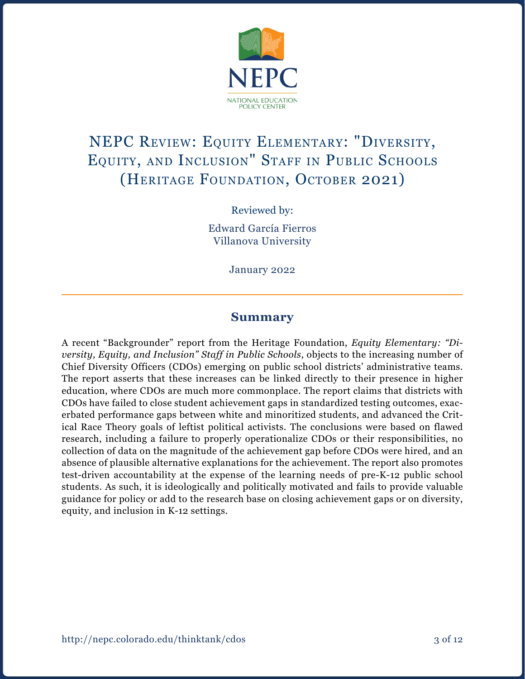

# NEPC Review: Equity Elementary: "Diversity, Equity, and Inclusion" Staff in Public Schools (HERITAGE FOUNDATION, OCTOBER 2021)

Reviewed by:

Edward García Fierros Villanova University

January 2022

#### **Summary**

A recent "Backgrounder" report from the Heritage Foundation, *Equity Elementary: "Diversity, Equity, and Inclusion" Staff in Public Schools*, objects to the increasing number of Chief Diversity Officers (CDOs) emerging on public school districts' administrative teams. The report asserts that these increases can be linked directly to their presence in higher education, where CDOs are much more commonplace. The report claims that districts with CDOs have failed to close student achievement gaps in standardized testing outcomes, exacerbated performance gaps between white and minoritized students, and advanced the Critical Race Theory goals of leftist political activists. The conclusions were based on flawed research, including a failure to properly operationalize CDOs or their responsibilities, no collection of data on the magnitude of the achievement gap before CDOs were hired, and an absence of plausible alternative explanations for the achievement. The report also promotes test-driven accountability at the expense of the learning needs of pre-K-12 public school students. As such, it is ideologically and politically motivated and fails to provide valuable guidance for policy or add to the research base on closing achievement gaps or on diversity, equity, and inclusion in K-12 settings.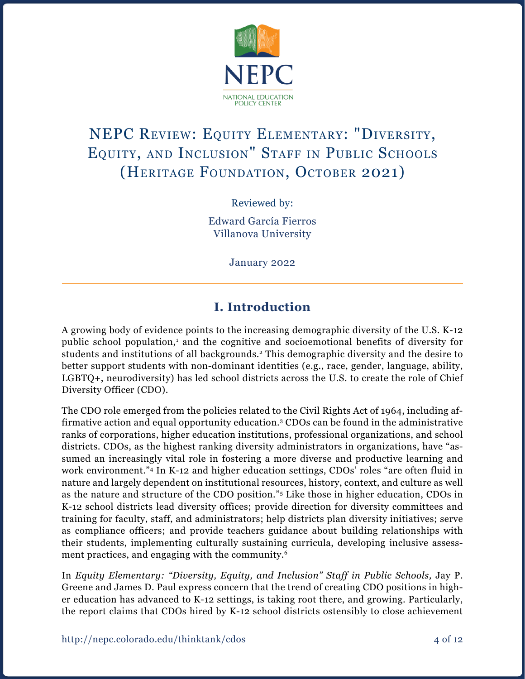

# NEPC Review: Equity Elementary: "Diversity, Equity, and Inclusion" Staff in Public Schools (HERITAGE FOUNDATION, OCTOBER 2021)

Reviewed by:

Edward García Fierros Villanova University

January 2022

## **I. Introduction**

A growing body of evidence points to the increasing demographic diversity of the U.S. K-12 public school population,<sup>1</sup> and the cognitive and socioemotional benefits of diversity for students and institutions of all backgrounds.2 This demographic diversity and the desire to better support students with non-dominant identities (e.g., race, gender, language, ability, LGBTQ+, neurodiversity) has led school districts across the U.S. to create the role of Chief Diversity Officer (CDO).

The CDO role emerged from the policies related to the Civil Rights Act of 1964, including affirmative action and equal opportunity education.3 CDOs can be found in the administrative ranks of corporations, higher education institutions, professional organizations, and school districts. CDOs, as the highest ranking diversity administrators in organizations, have "assumed an increasingly vital role in fostering a more diverse and productive learning and work environment."4 In K-12 and higher education settings, CDOs' roles "are often fluid in nature and largely dependent on institutional resources, history, context, and culture as well as the nature and structure of the CDO position."5 Like those in higher education, CDOs in K-12 school districts lead diversity offices; provide direction for diversity committees and training for faculty, staff, and administrators; help districts plan diversity initiatives; serve as compliance officers; and provide teachers guidance about building relationships with their students, implementing culturally sustaining curricula, developing inclusive assessment practices, and engaging with the community.6

In *Equity Elementary: "Diversity, Equity, and Inclusion" Staff in Public Schools, Jay P.* Greene and James D. Paul express concern that the trend of creating CDO positions in higher education has advanced to K-12 settings, is taking root there, and growing. Particularly, the report claims that CDOs hired by K-12 school districts ostensibly to close achievement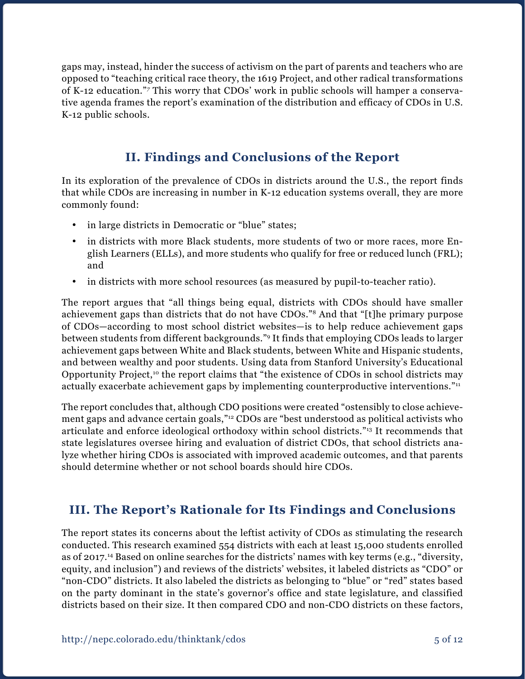gaps may, instead, hinder the success of activism on the part of parents and teachers who are opposed to "teaching critical race theory, the 1619 Project, and other radical transformations of K-12 education."*<sup>7</sup>* This worry that CDOs' work in public schools will hamper a conservative agenda frames the report's examination of the distribution and efficacy of CDOs in U.S. K-12 public schools.

## **II. Findings and Conclusions of the Report**

In its exploration of the prevalence of CDOs in districts around the U.S., the report finds that while CDOs are increasing in number in K-12 education systems overall, they are more commonly found:

- in large districts in Democratic or "blue" states;
- in districts with more Black students, more students of two or more races, more English Learners (ELLs), and more students who qualify for free or reduced lunch (FRL); and
- in districts with more school resources (as measured by pupil-to-teacher ratio).

The report argues that "all things being equal, districts with CDOs should have smaller achievement gaps than districts that do not have CDOs."8 And that "[t]he primary purpose of CDOs—according to most school district websites—is to help reduce achievement gaps between students from different backgrounds."9 It finds that employing CDOs leads to larger achievement gaps between White and Black students, between White and Hispanic students, and between wealthy and poor students. Using data from Stanford University's Educational Opportunity Project,<sup>10</sup> the report claims that "the existence of CDOs in school districts may actually exacerbate achievement gaps by implementing counterproductive interventions."<sup>11</sup>

The report concludes that, although CDO positions were created "ostensibly to close achievement gaps and advance certain goals,"<sup>12</sup> CDOs are "best understood as political activists who articulate and enforce ideological orthodoxy within school districts."13 It recommends that state legislatures oversee hiring and evaluation of district CDOs, that school districts analyze whether hiring CDOs is associated with improved academic outcomes, and that parents should determine whether or not school boards should hire CDOs.

#### **III. The Report's Rationale for Its Findings and Conclusions**

The report states its concerns about the leftist activity of CDOs as stimulating the research conducted. This research examined 554 districts with each at least 15,000 students enrolled as of 2017.14 Based on online searches for the districts' names with key terms (e.g., "diversity, equity, and inclusion") and reviews of the districts' websites, it labeled districts as "CDO" or "non-CDO" districts. It also labeled the districts as belonging to "blue" or "red" states based on the party dominant in the state's governor's office and state legislature, and classified districts based on their size. It then compared CDO and non-CDO districts on these factors,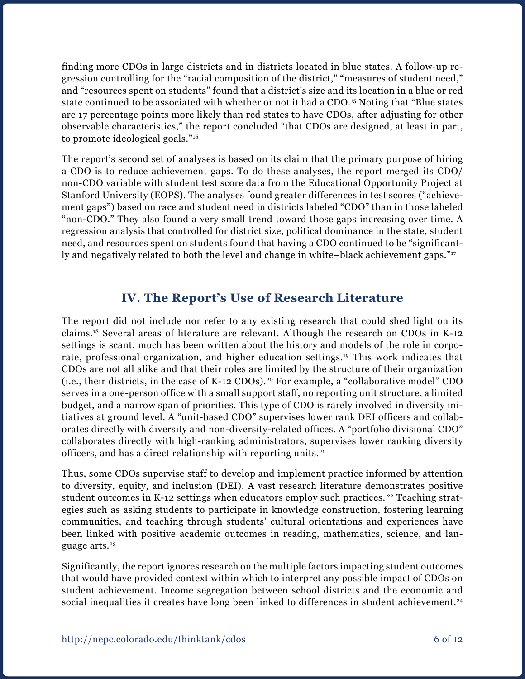finding more CDOs in large districts and in districts located in blue states. A follow-up regression controlling for the "racial composition of the district," "measures of student need," and "resources spent on students" found that a district's size and its location in a blue or red state continued to be associated with whether or not it had a CDO.<sup>15</sup> Noting that "Blue states are 17 percentage points more likely than red states to have CDOs, after adjusting for other observable characteristics," the report concluded "that CDOs are designed, at least in part, to promote ideological goals."16

The report's second set of analyses is based on its claim that the primary purpose of hiring a CDO is to reduce achievement gaps. To do these analyses, the report merged its CDO/ non-CDO variable with student test score data from the Educational Opportunity Project at Stanford University (EOPS). The analyses found greater differences in test scores ("achievement gaps") based on race and student need in districts labeled "CDO" than in those labeled "non-CDO." They also found a very small trend toward those gaps increasing over time. A regression analysis that controlled for district size, political dominance in the state, student need, and resources spent on students found that having a CDO continued to be "significantly and negatively related to both the level and change in white–black achievement gaps."<sup>17</sup>

#### **IV. The Report's Use of Research Literature**

The report did not include nor refer to any existing research that could shed light on its claims.18 Several areas of literature are relevant. Although the research on CDOs in K-12 settings is scant, much has been written about the history and models of the role in corporate, professional organization, and higher education settings.<sup>19</sup> This work indicates that CDOs are not all alike and that their roles are limited by the structure of their organization (i.e., their districts, in the case of K-12 CDOs).20 For example, a "collaborative model" CDO serves in a one-person office with a small support staff, no reporting unit structure, a limited budget, and a narrow span of priorities. This type of CDO is rarely involved in diversity initiatives at ground level. A "unit-based CDO" supervises lower rank DEI officers and collaborates directly with diversity and non-diversity-related offices. A "portfolio divisional CDO" collaborates directly with high-ranking administrators, supervises lower ranking diversity officers, and has a direct relationship with reporting units.21

Thus, some CDOs supervise staff to develop and implement practice informed by attention to diversity, equity, and inclusion (DEI). A vast research literature demonstrates positive student outcomes in K-12 settings when educators employ such practices. <sup>22</sup> Teaching strategies such as asking students to participate in knowledge construction, fostering learning communities, and teaching through students' cultural orientations and experiences have been linked with positive academic outcomes in reading, mathematics, science, and language arts.<sup>23</sup>

Significantly, the report ignores research on the multiple factors impacting student outcomes that would have provided context within which to interpret any possible impact of CDOs on student achievement. Income segregation between school districts and the economic and social inequalities it creates have long been linked to differences in student achievement.<sup>24</sup>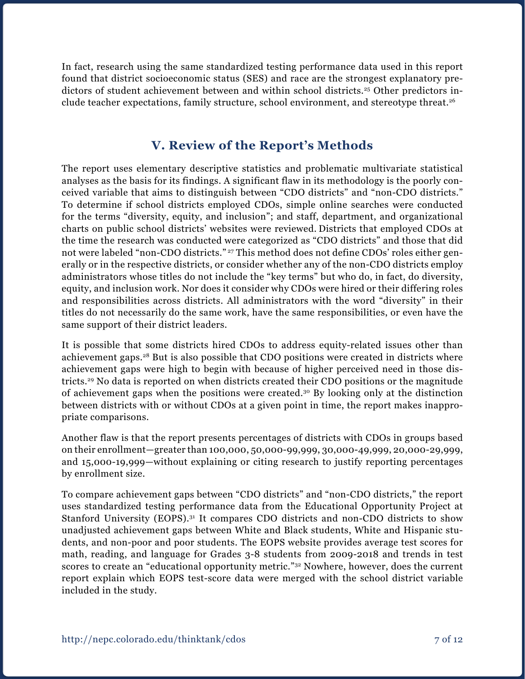In fact, research using the same standardized testing performance data used in this report found that district socioeconomic status (SES) and race are the strongest explanatory predictors of student achievement between and within school districts.25 Other predictors include teacher expectations, family structure, school environment, and stereotype threat.26

### **V. Review of the Report's Methods**

The report uses elementary descriptive statistics and problematic multivariate statistical analyses as the basis for its findings. A significant flaw in its methodology is the poorly conceived variable that aims to distinguish between "CDO districts" and "non-CDO districts." To determine if school districts employed CDOs, simple online searches were conducted for the terms "diversity, equity, and inclusion"; and staff, department, and organizational charts on public school districts' websites were reviewed. Districts that employed CDOs at the time the research was conducted were categorized as "CDO districts" and those that did not were labeled "non-CDO districts." <sup>27</sup> This method does not define CDOs' roles either generally or in the respective districts, or consider whether any of the non-CDO districts employ administrators whose titles do not include the "key terms" but who do, in fact, do diversity, equity, and inclusion work. Nor does it consider why CDOs were hired or their differing roles and responsibilities across districts. All administrators with the word "diversity" in their titles do not necessarily do the same work, have the same responsibilities, or even have the same support of their district leaders.

It is possible that some districts hired CDOs to address equity-related issues other than achievement gaps.28 But is also possible that CDO positions were created in districts where achievement gaps were high to begin with because of higher perceived need in those districts.29 No data is reported on when districts created their CDO positions or the magnitude of achievement gaps when the positions were created.30 By looking only at the distinction between districts with or without CDOs at a given point in time, the report makes inappropriate comparisons.

Another flaw is that the report presents percentages of districts with CDOs in groups based on their enrollment—greater than 100,000, 50,000-99,999, 30,000-49,999, 20,000-29,999, and 15,000-19,999—without explaining or citing research to justify reporting percentages by enrollment size.

To compare achievement gaps between "CDO districts" and "non-CDO districts," the report uses standardized testing performance data from the Educational Opportunity Project at Stanford University (EOPS).<sup>31</sup> It compares CDO districts and non-CDO districts to show unadjusted achievement gaps between White and Black students, White and Hispanic students, and non-poor and poor students. The EOPS website provides average test scores for math, reading, and language for Grades 3-8 students from 2009-2018 and trends in test scores to create an "educational opportunity metric."<sup>32</sup> Nowhere, however, does the current report explain which EOPS test-score data were merged with the school district variable included in the study.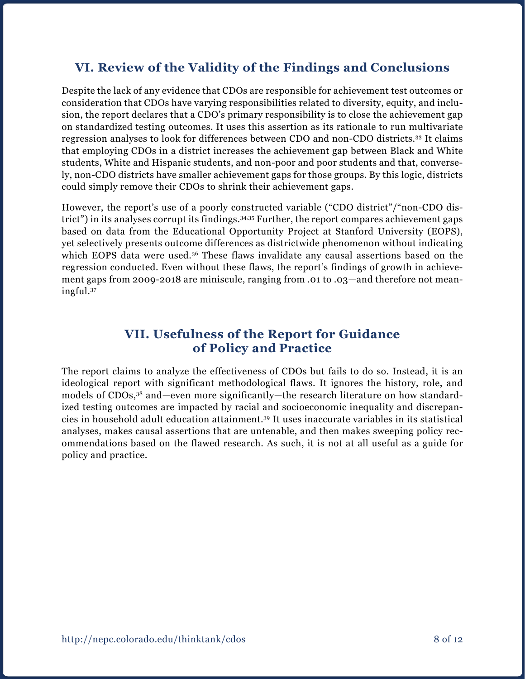### **VI. Review of the Validity of the Findings and Conclusions**

Despite the lack of any evidence that CDOs are responsible for achievement test outcomes or consideration that CDOs have varying responsibilities related to diversity, equity, and inclusion, the report declares that a CDO's primary responsibility is to close the achievement gap on standardized testing outcomes. It uses this assertion as its rationale to run multivariate regression analyses to look for differences between CDO and non-CDO districts.33 It claims that employing CDOs in a district increases the achievement gap between Black and White students, White and Hispanic students, and non-poor and poor students and that, conversely, non-CDO districts have smaller achievement gaps for those groups. By this logic, districts could simply remove their CDOs to shrink their achievement gaps.

However, the report's use of a poorly constructed variable ("CDO district"/"non-CDO district") in its analyses corrupt its findings.<sup>34,35</sup> Further, the report compares achievement gaps based on data from the Educational Opportunity Project at Stanford University (EOPS), yet selectively presents outcome differences as districtwide phenomenon without indicating which EOPS data were used.<sup>36</sup> These flaws invalidate any causal assertions based on the regression conducted. Even without these flaws, the report's findings of growth in achievement gaps from 2009-2018 are miniscule, ranging from .01 to .03—and therefore not meaningful.37

#### **VII. Usefulness of the Report for Guidance of Policy and Practice**

The report claims to analyze the effectiveness of CDOs but fails to do so. Instead, it is an ideological report with significant methodological flaws. It ignores the history, role, and models of CDOs,38 and—even more significantly—the research literature on how standardized testing outcomes are impacted by racial and socioeconomic inequality and discrepancies in household adult education attainment.39 It uses inaccurate variables in its statistical analyses, makes causal assertions that are untenable, and then makes sweeping policy recommendations based on the flawed research. As such, it is not at all useful as a guide for policy and practice.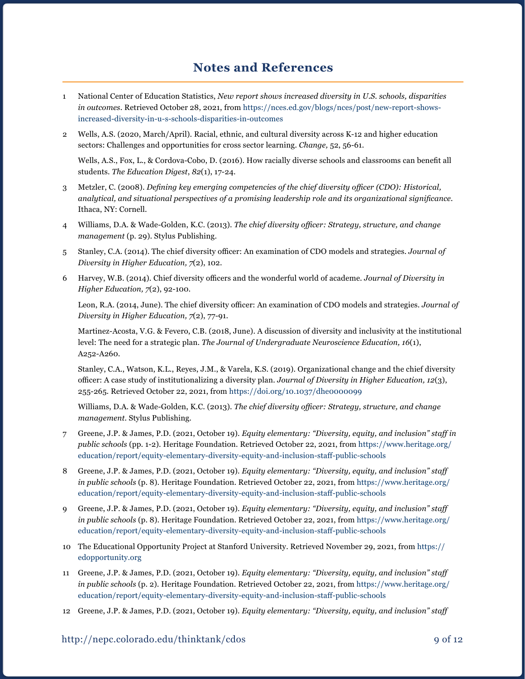#### **Notes and References**

- 1 National Center of Education Statistics, *New report shows increased diversity in U.S. schools, disparities in outcomes.* Retrieved October 28, 2021, from [https://nces.ed.gov/blogs/nces/post/new-report-shows](https://nces.ed.gov/blogs/nces/post/new-report-shows-increased-diversity-in-u-s-schools-disparities-in-outcomes)[increased-diversity-in-u-s-schools-disparities-in-outcomes](https://nces.ed.gov/blogs/nces/post/new-report-shows-increased-diversity-in-u-s-schools-disparities-in-outcomes)
- 2 Wells, A.S. (2020, March/April). Racial, ethnic, and cultural diversity across K-12 and higher education sectors: Challenges and opportunities for cross sector learning. *Change,* 52, 56-61.

 Wells, A.S., Fox, L., & Cordova-Cobo, D. (2016). How racially diverse schools and classrooms can benefit all students. *The Education Digest*, *82*(1), 17-24.

- 3 Metzler, C. (2008). *Defining key emerging competencies of the chief diversity officer (CDO): Historical, analytical, and situational perspectives of a promising leadership role and its organizational significance.* Ithaca, NY: Cornell.
- 4 Williams, D.A. & Wade-Golden, K.C. (2013). *The chief diversity officer: Strategy, structure, and change management* (p. 29). Stylus Publishing.
- 5 Stanley, C.A. (2014). The chief diversity officer: An examination of CDO models and strategies. *Journal of Diversity in Higher Education, 7*(2), 102.
- 6 Harvey, W.B. (2014). Chief diversity officers and the wonderful world of academe. *Journal of Diversity in Higher Education, 7*(2), 92-100.

 Leon, R.A. (2014, June). The chief diversity officer: An examination of CDO models and strategies. *Journal of Diversity in Higher Education, 7*(2), 77-91.

Martinez-Acosta, V.G. & Fevero, C.B. (2018, June). A discussion of diversity and inclusivity at the institutional level: The need for a strategic plan. *The Journal of Undergraduate Neuroscience Education, 16*(1), A252-A260.

Stanley, C.A., Watson, K.L., Reyes, J.M., & Varela, K.S. (2019). Organizational change and the chief diversity officer: A case study of institutionalizing a diversity plan. *Journal of Diversity in Higher Education, 12*(3), 255-265. Retrieved October 22, 2021, from <https://doi.org/10.1037/dhe0000099>

Williams, D.A. & Wade-Golden, K.C. (2013). *The chief diversity officer: Strategy, structure, and change management.* Stylus Publishing.

- 7 Greene, J.P. & James, P.D. (2021, October 19). *Equity elementary: "Diversity, equity, and inclusion" staff in public schools* (pp. 1-2). Heritage Foundation. Retrieved October 22, 2021, from [https://www.heritage.org/](https://www.heritage.org/education/report/equity-elementary-diversity-equity-and-inclusion-staff-public-schools) [education/report/equity-elementary-diversity-equity-and-inclusion-staff-public-schools](https://www.heritage.org/education/report/equity-elementary-diversity-equity-and-inclusion-staff-public-schools)
- 8 Greene, J.P. & James, P.D. (2021, October 19). *Equity elementary: "Diversity, equity, and inclusion" staff in public schools* (p. 8). Heritage Foundation. Retrieved October 22, 2021, from [https://www.heritage.org/](https://www.heritage.org/education/report/equity-elementary-diversity-equity-and-inclusion-staff-public-schools) [education/report/equity-elementary-diversity-equity-and-inclusion-staff-public-schools](https://www.heritage.org/education/report/equity-elementary-diversity-equity-and-inclusion-staff-public-schools)
- 9 Greene, J.P. & James, P.D. (2021, October 19). *Equity elementary: "Diversity, equity, and inclusion" staff in public schools* (p. 8). Heritage Foundation. Retrieved October 22, 2021, from [https://www.heritage.org/](https://www.heritage.org/education/report/equity-elementary-diversity-equity-and-inclusion-staff-public-schools) [education/report/equity-elementary-diversity-equity-and-inclusion-staff-public-schools](https://www.heritage.org/education/report/equity-elementary-diversity-equity-and-inclusion-staff-public-schools)
- 10 The Educational Opportunity Project at Stanford University. Retrieved November 29, 2021, from [https://](https://edopportunity.org) [edopportunity.org](https://edopportunity.org)
- 11 Greene, J.P. & James, P.D. (2021, October 19). *Equity elementary: "Diversity, equity, and inclusion" staff in public schools* (p. 2). Heritage Foundation. Retrieved October 22, 2021, from [https://www.heritage.org/](https://www.heritage.org/education/report/equity-elementary-diversity-equity-and-inclusion-staff-public-schools) [education/report/equity-elementary-diversity-equity-and-inclusion-staff-public-schools](https://www.heritage.org/education/report/equity-elementary-diversity-equity-and-inclusion-staff-public-schools)
- 12 Greene, J.P. & James, P.D. (2021, October 19). *Equity elementary: "Diversity, equity, and inclusion" staff*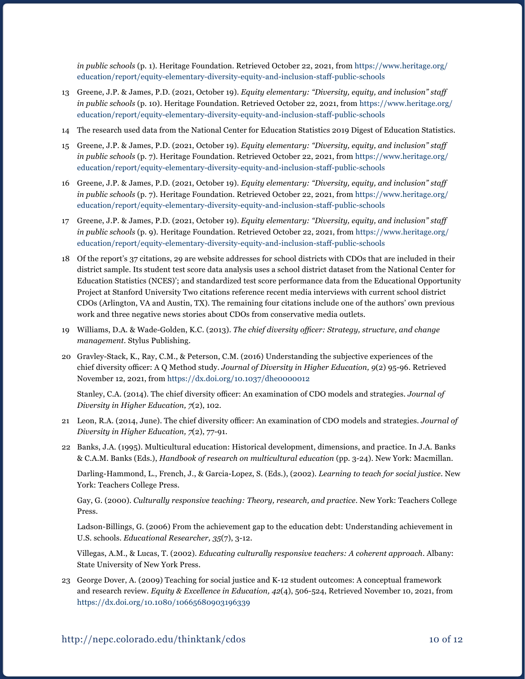*in public schools* (p. 1). Heritage Foundation. Retrieved October 22, 2021, from [https://www.heritage.org/](https://www.heritage.org/education/report/equity-elementary-diversity-equity-and-inclusion-staff-public-schools) [education/report/equity-elementary-diversity-equity-and-inclusion-staff-public-schools](https://www.heritage.org/education/report/equity-elementary-diversity-equity-and-inclusion-staff-public-schools)

- 13 Greene, J.P. & James, P.D. (2021, October 19). *Equity elementary: "Diversity, equity, and inclusion" staff in public schools* (p. 10). Heritage Foundation. Retrieved October 22, 2021, from [https://www.heritage.org/](https://www.heritage.org/education/report/equity-elementary-diversity-equity-and-inclusion-staff-public-schools) [education/report/equity-elementary-diversity-equity-and-inclusion-staff-public-schools](https://www.heritage.org/education/report/equity-elementary-diversity-equity-and-inclusion-staff-public-schools)
- 14 The research used data from the National Center for Education Statistics 2019 Digest of Education Statistics.
- 15 Greene, J.P. & James, P.D. (2021, October 19). *Equity elementary: "Diversity, equity, and inclusion" staff in public schools* (p. 7). Heritage Foundation. Retrieved October 22, 2021, from [https://www.heritage.org/](https://www.heritage.org/education/report/equity-elementary-diversity-equity-and-inclusion-staff-public-schools) [education/report/equity-elementary-diversity-equity-and-inclusion-staff-public-schools](https://www.heritage.org/education/report/equity-elementary-diversity-equity-and-inclusion-staff-public-schools)
- 16 Greene, J.P. & James, P.D. (2021, October 19). *Equity elementary: "Diversity, equity, and inclusion" staff in public schools* (p. 7). Heritage Foundation. Retrieved October 22, 2021, from [https://www.heritage.org/](https://www.heritage.org/education/report/equity-elementary-diversity-equity-and-inclusion-staff-public-schools) [education/report/equity-elementary-diversity-equity-and-inclusion-staff-public-schools](https://www.heritage.org/education/report/equity-elementary-diversity-equity-and-inclusion-staff-public-schools)
- 17 Greene, J.P. & James, P.D. (2021, October 19). *Equity elementary: "Diversity, equity, and inclusion" staff in public schools* (p. 9). Heritage Foundation. Retrieved October 22, 2021, from [https://www.heritage.org/](https://www.heritage.org/education/report/equity-elementary-diversity-equity-and-inclusion-staff-public-schools) [education/report/equity-elementary-diversity-equity-and-inclusion-staff-public-schools](https://www.heritage.org/education/report/equity-elementary-diversity-equity-and-inclusion-staff-public-schools)
- 18 Of the report's 37 citations, 29 are website addresses for school districts with CDOs that are included in their district sample. Its student test score data analysis uses a school district dataset from the National Center for Education Statistics (NCES)'; and standardized test score performance data from the Educational Opportunity Project at Stanford University Two citations reference recent media interviews with current school district CDOs (Arlington, VA and Austin, TX). The remaining four citations include one of the authors' own previous work and three negative news stories about CDOs from conservative media outlets.
- 19 Williams, D.A. & Wade-Golden, K.C. (2013). *The chief diversity officer: Strategy, structure, and change management.* Stylus Publishing.
- 20 Gravley-Stack, K., Ray, C.M., & Peterson, C.M. (2016) Understanding the subjective experiences of the chief diversity officer: A Q Method study. *Journal of Diversity in Higher Education, 9*(2) 95-96. Retrieved November 12, 2021, from <https://dx.doi.org/10.1037/dhe0000012>

Stanley, C.A. (2014). The chief diversity officer: An examination of CDO models and strategies. *Journal of Diversity in Higher Education, 7*(2), 102.

- 21 Leon, R.A. (2014, June). The chief diversity officer: An examination of CDO models and strategies. *Journal of Diversity in Higher Education, 7*(2), 77-91.
- 22 Banks, J.A. (1995). Multicultural education: Historical development, dimensions, and practice. In J.A. Banks & C.A.M. Banks (Eds.), *Handbook of research on multicultural education* (pp. 3-24). New York: Macmillan.

Darling-Hammond, L., French, J., & Garcia-Lopez, S. (Eds.), (2002). *Learning to teach for social justice*. New York: Teachers College Press.

Gay, G. (2000). *Culturally responsive teaching: Theory, research, and practice*. New York: Teachers College Press.

Ladson-Billings, G. (2006) From the achievement gap to the education debt: Understanding achievement in U.S. schools. *Educational Researcher, 35*(7), 3-12.

Villegas, A.M., & Lucas, T. (2002). *Educating culturally responsive teachers: A coherent approach*. Albany: State University of New York Press.

23 George Dover, A. (2009) Teaching for social justice and K-12 student outcomes: A conceptual framework and research review. *Equity & Excellence in Education, 42*(4), 506-524, Retrieved November 10, 2021, from <https://dx.doi.org/10.1080/10665680903196339>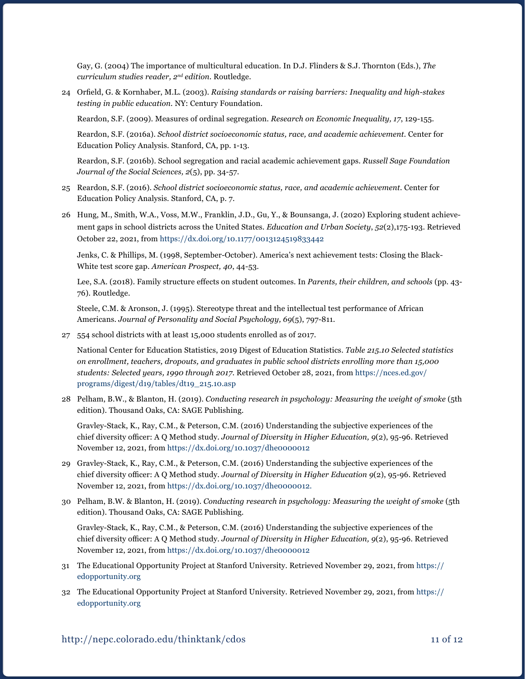Gay, G. (2004) The importance of multicultural education. In D.J. Flinders & S.J. Thornton (Eds.), *The curriculum studies reader, 2nd edition.* Routledge.

24 Orfield, G. & Kornhaber, M.L. (2003). *Raising standards or raising barriers: Inequality and high-stakes testing in public education.* NY: Century Foundation.

Reardon, S.F. (2009). Measures of ordinal segregation. *Research on Economic Inequality, 17*, 129-155.

Reardon, S.F. (2016a). *School district socioeconomic status, race, and academic achievement.* Center for Education Policy Analysis. Stanford, CA, pp. 1-13.

Reardon, S.F. (2016b). School segregation and racial academic achievement gaps. *Russell Sage Foundation Journal of the Social Sciences, 2*(5), pp. 34-57.

- 25 Reardon, S.F. (2016). *School district socioeconomic status, race, and academic achievement*. Center for Education Policy Analysis*.* Stanford, CA, p. 7.
- 26 Hung, M., Smith, W.A., Voss, M.W., Franklin, J.D., Gu, Y., & Bounsanga, J. (2020) Exploring student achievement gaps in school districts across the United States. *Education and Urban Society*, *52*(2),175-193. Retrieved October 22, 2021, from https://dx.doi.org/[10.1177/0013124519833442](https://doi.org/10.1177/0013124519833442)

Jenks, C. & Phillips, M. (1998, September-October). America's next achievement tests: Closing the Black-White test score gap. *American Prospect, 40*, 44-53.

 Lee, S.A. (2018). Family structure effects on student outcomes. In *Parents, their children, and schools* (pp. 43- 76). Routledge.

Steele, C.M. & Aronson, J. (1995). Stereotype threat and the intellectual test performance of African Americans. *Journal of Personality and Social Psychology, 69*(5), 797-811.

27 554 school districts with at least 15,000 students enrolled as of 2017.

National Center for Education Statistics, 2019 Digest of Education Statistics. *Table 215.10 Selected statistics on enrollment, teachers, dropouts, and graduates in public school districts enrolling more than 15,000 students: Selected years, 1990 through 2017*. Retrieved October 28, 2021, from [https://nces.ed.gov/](https://nces.ed.gov/programs/digest/d19/tables/dt19_215.10.asp) [programs/digest/d19/tables/dt19\\_215.10.asp](https://nces.ed.gov/programs/digest/d19/tables/dt19_215.10.asp)

28 Pelham, B.W., & Blanton, H. (2019). *Conducting research in psychology: Measuring the weight of smoke* (5th edition). Thousand Oaks, CA: SAGE Publishing.

Gravley-Stack, K., Ray, C.M., & Peterson, C.M. (2016) Understanding the subjective experiences of the chief diversity officer: A Q Method study. *Journal of Diversity in Higher Education, 9*(2), 95-96. Retrieved November 12, 2021, from <https://dx.doi.org/10.1037/dhe0000012>

- 29 Gravley-Stack, K., Ray, C.M., & Peterson, C.M. (2016) Understanding the subjective experiences of the chief diversity officer: A Q Method study. *Journal of Diversity in Higher Education 9*(2), 95-96. Retrieved November 12, 2021, from <https://dx.doi.org/10.1037/dhe0000012>.
- 30 Pelham, B.W. & Blanton, H. (2019). *Conducting research in psychology: Measuring the weight of smoke* (5th edition). Thousand Oaks, CA: SAGE Publishing.

Gravley-Stack, K., Ray, C.M., & Peterson, C.M. (2016) Understanding the subjective experiences of the chief diversity officer: A Q Method study. *Journal of Diversity in Higher Education, 9*(2), 95-96. Retrieved November 12, 2021, from <https://dx.doi.org/10.1037/dhe0000012>

- 31 The Educational Opportunity Project at Stanford University. Retrieved November 29, 2021, from [https://](https://edopportunity.org/) [edopportunity.org](https://edopportunity.org/)
- 32 The Educational Opportunity Project at Stanford University. Retrieved November 29, 2021, from [https://](https://edopportunity.org/) [edopportunity.org](https://edopportunity.org/)